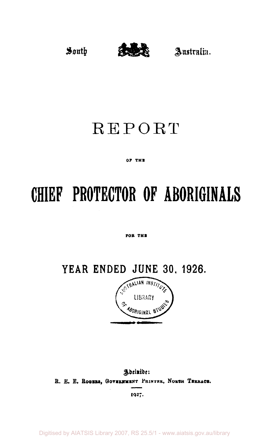

# REPORT

#### **OF THE**

# **CHIEF PROTECTOR OF ABORIGINALS**

#### **FOB THE**

**YEAR ENDED JUNE 30, 1926.**<br> **PEAR ENDED JUNE 30, 1926.** 



Adelaide: **R. E. E. Rogers, Government PRINTER, NORTH TERRACE***.* 

**1927-**

Digitised by AIATSIS Library 2007, RS 25.5/1 - www.aiatsis.gov.au/library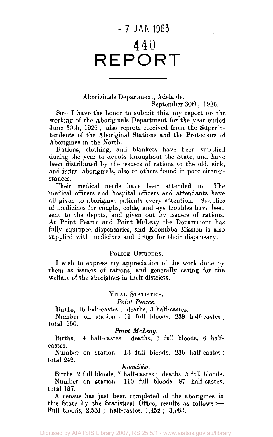# - 7 JAN 1963 440 REPORT

# Aboriginals Department, Adelaide,

September 30th, 1926.

Sir— I have the honor to submit this, my report on the working of the Aboriginals Department for the year ended June 30th, 1926; also reports received from the Superintendents of the Aboriginal Stations and the Protectors of Aborigines in the North.

Rations, clothing, and blankets have been supplied during the year to depots throughout the State, and have been distributed by the issuers of rations to the old, sick, and infirm aboriginals, also to others found in poor circumstances.

Their medical needs have been attended to. The medical officers and hospital officers and attendants have all given to aboriginal patients every attention. Supplies of medicines for coughs, colds, and eye troubles have been sent to the depots, and given out by issuers of rations. At Point Pearce and Point McLeay the Department has fully equipped dispensaries, and Koonibba Mission is also supplied with medicines and drugs for their dispensary.

#### POLICE OFFICERS.

I wish to express my appreciation of the work done by them as issuers of rations, and generally caring for the welfare of the aborigines in their districts.

#### VITAL STATISTICS.

#### *Point Pearce.*

Births, 16 half-castes ; deaths, 3 half-castes.

Number on station.—11 full bloods, 239 half-castes ; total 250.

#### *Point McLeay.*

Births, 14 half-castes; deaths, 3 full bloods, 6 halfcastes.

Number on station.—13 full bloods, 236 half-castes ; total 249.

#### *Koonibba.*

Births, 2 full bloods, 7 half-castes ; deaths, 5 full bloods. Number on station.—110 full bloods, 87 half-castes, total 197.

A census has just been completed of the aborigines in this State by the Statistical Office, results as follows :— Full bloods, 2,531 ; half-castes, 1,452 ; 3,983.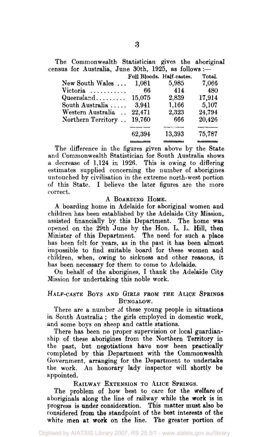The Commonwealth Statistician gives the aboriginal census for Australia, June 30th, 1925, as follows :—

|                                 | Full Bloods. Half-castes. |        | Total. |
|---------------------------------|---------------------------|--------|--------|
| New South Wales                 | 1,081                     | 5,985  | 7,066  |
| Victoria $\ldots \ldots \ldots$ | 66                        | 414    | 480    |
| Queensland $15.075$             |                           | 2,839  | 17,914 |
| South Australia                 | 3.941                     | 1.166  | 5,107  |
| Western Australia               | 22.471                    | 2.323  | 24.794 |
| Northern Territory              | 19,760                    | 666    | 20,426 |
|                                 |                           |        |        |
|                                 | 62,394                    | 13,393 | 75,787 |
|                                 |                           |        |        |

The difference in the figures given above by the State and Commonwealth Statistician for South Australia shows a. decrease of 1,124 in 1926. This is owing to differing estimates supplied concerning the number of aborigines untouched by civilisation in the extreme north-west portion of this State. I believe the later figures are the more correct.

#### A BOARDING HOME.

A boarding home in Adelaide for aboriginal women and children has been established by the Adelaide City Mission, assisted financially by this Department. The home was opened on the 29th June by the Hon. L. L. Hill, then Minister of this Department. The need for such a place has been felt for years, as in the past it has been almost impossible to find suitable board for these women and children, when, owing to sickness and other reasons, it has been necessary for them to come to Adelaide.

On behalf of the aborigines, I thank the Adelaide City Mission for undertaking this noble work.

### HALF-CASTE BOYS AND GIRLS FROM THE ALICE SPRINGS BUNGALOW.

There are a number of these young people in situations in South Australia ; the girls employed in domestic work, and some boys on sheep and cattle stations.

There has been no proper supervision or local guardianship of these aborigines from the Northern Territory in the past, but negotiations have now been practically completed by this Department with the Commonwealth Government, arranging for the Department to undertake the work. An honorary lady inspector will shortly be appointed.

RAILWAY EXTENSION TO ALICE SPRINGS.

The problem of how best to care for the Welfare of aboriginals along the line of railway while the work is in progress is under consideration. This matter must also be considered from the standpoint of the best interests of the white men at work on the line. The greater portion of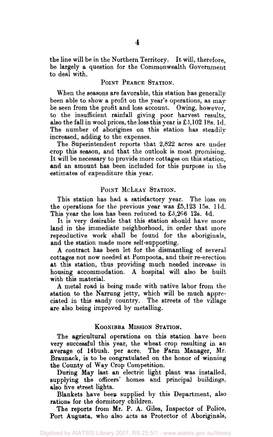the line will be in the Northern Territory. It will, therefore, be largely a question for the Commonwealth Government to deal with.

#### POINT PEARCE STATION.

When the seasons are favorable, this station has generally been able to show a profit on the year's operations, as may be seen from the profit and loss account. Owing, however, to the insufficient rainfall giving poor harvest results, also the fall in wool prices, the loss this year is £3,102 18s. 1d. The number of aborigines on this station has steadily increased, adding to the expenses.

The Superintendent reports that 2,822 acres are under •crop this season, and that the outlook is most promising. It will be necessary to provide more cottages on this station, and an amount has been included for this purpose in the estimates of expenditure this year.

#### POINT MCLEAY STATION.

This station has had a satisfactory year. The loss on the operations for the previous year was £5,123 15s. l1d. This year the loss has been reduced to £3,266 12s. 4d.

It is very desirable that this station should have more land in the immediate neighborhood, in order that more reproductive work shall be found for the aboriginals, and the station made more self-supporting.

A contract has been let for the dismantling of several cottages not now needed at Pompoota, and their re-erection at this station, thus providing much needed increase in housing accommodation. A hospital will also be built with this material.

A metal road is being made with native labor from the station to the Narrung jetty, which will be much appreciated in this sandy country. The streets of the village are also being improved by metalling.

#### KOONIBBA MISSION STATION.

The agricultural operations on this station have been very successful this year, the wheat crop resulting in an average of 14bush. per acre. The Farm Manager, Mr. Braunack, is to be congratulated on the honor of winning the County of Way Crop Competition.

During May last an electric light plant was installed, supplying the officers' homes and principal buildings, also five street lights.

Blankets have been supplied by this Department, also rations for the dormitory children.

The reports from Mr. P. A. Giles, Inspector of Police, Port Augusta, who also acts as Protector of Aboriginals,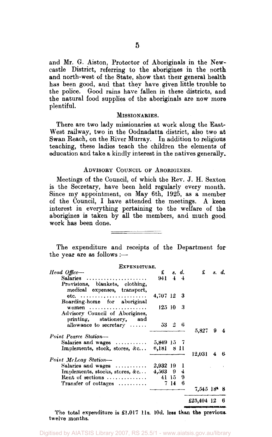and Mr. G. Aiston, Protector of Aboriginals in the Newcastle District, referring to the aborigines in the north and north-west of the State, show that their general health has been good, and that they have given little trouble to the police. Good rains have fallen in these districts, and the natural food supplies of the aboriginals are now more plentiful.

#### MISSIONARIES.

There are two lady missionaries at work along the East-West railway, two in the Oodnadatta district, also two at Swan Reach, on the River Murray. In addition to religious teaching, these ladies teach the children the elements of education and take a kindly interest in the natives generally.

#### ADVISORY COUNCIL OF ABORIGINES.

Meetings of the Council, of which the Rev. J. H. Sexton is the Secretary, have been held regularly every month. Since my appointment, on May 6th, 1925, as a member of the Council, I have attended the meetings. A keen interest in everything pertaining to the welfare of the aborigines is taken by all the members, and much good work has been done.

#### 

The expenditure and receipts of the Department for the year are as follows :-

| EXPENDITURE.                                                    |                       |                      |       |                           |       |    |
|-----------------------------------------------------------------|-----------------------|----------------------|-------|---------------------------|-------|----|
| Head Office-                                                    | $\mathbf{f}$          |                      | s. d. | £                         | s. d. |    |
| Salaries                                                        | $941 \quad 4 \quad 4$ |                      |       |                           |       |    |
| Provisions, blankets, clothing,<br>medical expenses, transport, |                       |                      |       |                           |       |    |
| etc. $\ldots \ldots \ldots \ldots \ldots \ldots$                | 4,707 12 3            |                      |       |                           |       |    |
| Boarding-home for aboriginal                                    |                       |                      |       |                           |       |    |
| women $\ldots \ldots \ldots \ldots \ldots \ldots$               | 125103                |                      |       |                           |       |    |
| Advisory Council of Aborigines,<br>printing, stationery, and    |                       |                      |       |                           |       |    |
| allowance to secretary $\ldots$ .                               |                       | $53 \quad 2 \quad 6$ |       |                           |       |    |
|                                                                 |                       |                      |       | 5.827                     | 9     |    |
| Point Pearce Station-                                           |                       |                      |       |                           |       |    |
| Salaries and wages                                              | 5,849 15 7            |                      |       |                           |       |    |
| Implements, stock, stores, &c                                   | 6.181 - 8-11          |                      |       |                           |       |    |
|                                                                 |                       |                      |       | 12.031                    | 4     | -6 |
| Point McLeay Station-                                           |                       |                      |       |                           |       |    |
| Salaries and wages                                              | 2,932 19              |                      | 1     |                           |       |    |
| Implements, stocks, stores, &c                                  | $4,563$ 9             |                      | 4     |                           |       |    |
| Rent of sections                                                |                       | 41 I5 -              | 9     |                           |       |    |
| Transfer of cottages $\ldots$                                   |                       | 7 14                 | 6     |                           |       |    |
|                                                                 |                       |                      |       | $7,545$ 18 <sup>6</sup> 8 |       |    |
|                                                                 |                       |                      |       | £25,404 12                |       | 6  |

The total expenditure is £1.017 11s. 10d. less than the previous. twelve months.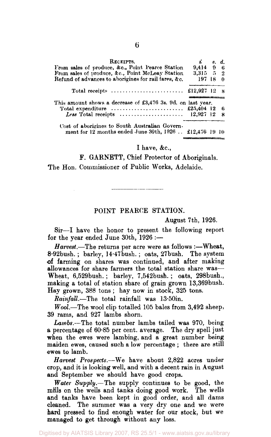| RECEIPTS.                                                                        | $\mathbf{i}$ $s. d.$ |    |
|----------------------------------------------------------------------------------|----------------------|----|
| From sales of produce, &c., Point Pearce Station                                 | 9,414 9 6            |    |
| From sales of produce, &c., Point McLeay Station                                 | 3,315 5 2            |    |
| Refund of advances to aborigines for rail fares, &c.                             | 197 18 0             |    |
| Total receipts $\ldots \ldots \ldots \ldots \ldots \ldots \ldots$ £12,927 12 8   |                      |    |
|                                                                                  |                      |    |
| This amount shows a decrease of £3,476 3s. 9d. on last year.                     |                      |    |
|                                                                                  |                      |    |
| Less Total receipts $\ldots \ldots \ldots \ldots \ldots \ldots \ldots$ 12,927 12 |                      | -8 |

#### I have, &c,

F. GARNETT, Chief Protector of Aboriginals. The Hon. Commissioner of Public Works, Adelaide.

#### POINT PEARCE STATION.

August 7th, 1926.

Sir—I have the honor to present the following report for the year ended June 30th, 1926 :—

*Harvest.*—The returns per acre were as follows :—Wheat, 8-92bush. ; barley, 14-47bush. ; oats, 27bush. The system of farming on shares was continued, and after making allowances for share farmers the total station share was— Wheat, 6,529bush. ; barley, 7,542bush. ; oats, 298bush., making a total of station share of grain grown 13,369bush. Hay grown, 388 tons ; hay now in stock, 325 tons.

*Rainfall.*—The total rainfall was 13.50in.

*Wool.*—The wool clip totalled 105 bales from 3,492 sheep, 39 rams, and 927 lambs shorn.

*Lambs.*—The total number lambs tailed was 970, being a percentage of 60-85 per cent, average. The dry spell just when the ewes were lambing, and a great number being maiden ewes, caused such a low percentage ; there are still ewes to lamb.

*Harvest Prospects.*—We have about 2,822 acres under crop, and it is looking well, and with a decent rain in August and September we should have good crops.

*Water Supply.*—The supply continues to be good, the mills on the wells and tanks doing good work. The wells and tanks have been kept in good order, and all dams cleaned. The summer was a very dry one and we were hard pressed to find enough water for our stock, but we managed to get through without any loss.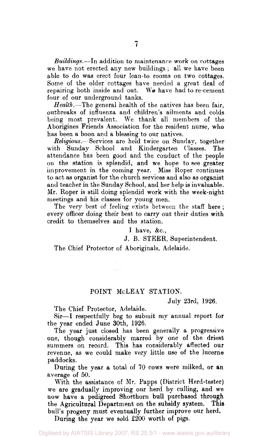*Buildings.*—In addition to maintenance work on cottages we have not erected any new buildings ; all we have been able to do was erect four lean-to rooms on two cottages. Some of the older cottages have needed a great deal of repairing both inside and out. We have had to re-cement four of our underground tanks.

*Health.*—The general health of the natives has been fair, outbreaks of influenza and children's ailments and colds being most prevalent. We thank all members of the Aborigines Friends Association for the resident nurse, who has been a boon and a blessing to our natives.

*Religious.—* Services are held twice on Sunday, together with Sunday School and Kindergarten Classes. The attendance has been good and the conduct of the people on the station is splendid, and we hope to see greater improvement in the coming year. Miss Roper continues to act as organist for the church services and also as organist and teacher in the Sunday School, and her help is invaluable. Mr. Roper is still doing splendid work with the week-night meetings and his classes for young men.

The very best of feeling exists between the staff here ; every officer doing their best to carry out their duties with credit to themselves and the station.

I have, &c.,

J. B. STEER, Superintendent.

The Chief Protector of Aboriginals, Adelaide.

#### POINT McLEAY STATION.

July 23rd, 1926.

The Chief Protector, Adelaide.

Sir—I respectfully beg to submit my annual report for the year ended June 30th, 1926.

The year just closed has been generally a progressive one, though considerably marred by one of the driest summers on record. This has considerably affected our revenue, as we could make very little use of the lucerne paddocks.

During the year a total of 70 cows were milked, or an average of 50.

With the assistance of Mr. Papps (District Herd-tester) we are gradually improving our herd by culling, and we now have a pedigreed Shorthorn **bull** purchased **through**  the Agricultural Department on the subsidy system. **This**  bull's progeny must eventually further improve our herd.

During the year we sold £200 worth of pigs.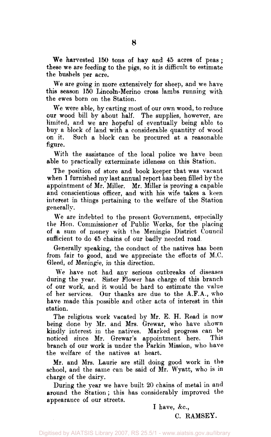We harvested 150 tons of hay and 45 acres of peas ; these we are feeding to the pigs, so it is difficult to estimate the bushels per acre.

We are going in more extensively for sheep, and we have this season 150 Lincoln-Merino cross lambs running with the ewes born on the Station.

We were able, by carting most of our own wood, to reduce our wood bill by about half. The supplies, however, are limited, and we are hopeful of eventually being able to buy a block of land with a considerable quantity of wood on it. Such a block can be procured at a reasonable figure.

With the assistance of the local police we have been able to practically exterminate idleness on this Station.

The position of store and book keeper that was vacant when I furnished my last annual report has been filled by the appointment of Mr. Miller. Mr. Miller is proving a capable and conscientious officer, and with his wife takes a keen interest in things pertaining to the welfare of the Station generally.

We are indebted to the present Government, especially the Hon. Commissioner of Public Works, for the placing of a sum of money with the Meningie District Council sufficient to do 45 chains of our badly needed road

Generally speaking, the conduct of the natives has been from fair to good, and we appreciate the efforts of M.C. Gleed, of Meningie, in this direction.

We have not had any serious outbreaks of diseases during the year. Sister Flower has charge of this branch of our work, and it would be hard to estimate the value of her services. Our thanks are due to the A.F.A., who have made this possible and other acts of interest in this station.

The religious work vacated by Mr. E. H. Read is now being done by Mr. and Mrs. Grewar, who have shown kindly interest in the natives. Marked progress can be noticed since Mr. Grewar's appointment here. branch of our work is under the Parkin Mission, who have the welfare of the natives at heart.

Mr. and Mrs. Laurie are still doing good work in the school, and the same can be said of Mr. Wyatt, who is in charge of the dairy.

During the year we have built 20 chains of metal in and around the Station; this has considerably improved the appearance of our streets.

I have, &c.,

C. RAMSEY.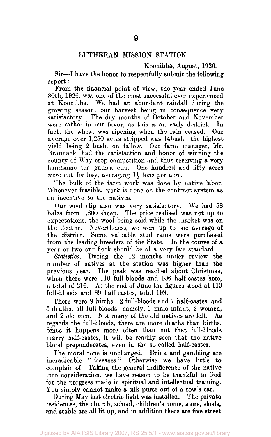## LUTHERAN MISSION STATION.

Koonibba, August, 1926.

Sir—I have the honor to respectfully submit the following report:—

From the financial point of view, the year ended June 30th, 1926, was one of the most successful ever experienced at Koonibba. We had an abundant rainfall during the growing season, our harvest being in consequence very satisfactory. The dry months of October and November were rather in our favor, as this is an early district. In fact, the wheat was ripening when the rain ceased. Our average over 1,250 acres stripped was 14bush., the highest yield being 21 bush, on fallow. Our farm manager, Mr. Braunack, had the satisfaction and honor of winning the county of Way crop competition and thus receiving a very handsome ten guinea cup. One hundred and fifty acres were cut for hay, averaging  $1\frac{1}{2}$  tons per acre.

The bulk of the farm work was done by native labor. Whenever feasible, work is done on the contract system as an incentive to the natives.

Our wool clip also was very satisfactory. We had 58 bales from 1,800 sheep. The price realised was not up to expectations, the wool being sold while the market was on the decline. Nevertheless, we were up to the average of the district. Some valuable stud rams were purchased from the leading breeders of the State. In the course of a year or two our flock should be of a very fair standard.

*Statistics.*—During the 12 months under review the number of natives at the station was higher than the previous year. The peak was reached about Christmas, when there were 110 full-bloods and 106 half-castes here, a total of 216. At the end of June the figures stood at 110 full-bloods and 89 half-castes, total 199.

There were 9 births—2 full-bloods and 7 half-castes, and 5 deaths, all full-bloods, namely, 1 male infant, 2 women, and 2 old men. Not many of the old natives are left. As regards the full-bloods, there are more deaths than births. Since it happens more often than not that full-bloods marry half-castes, it will be readily seen that the native blood preponderates, even in the so-called half-castes.

The moral tone is unchanged. Drink and gambling are ineradicable " diseases." Otherwise we have little to complain of. Taking the general indifference of the native into consideration, we have reason to be thankful to God for the progress made in spiritual and intellectual training. You simply cannot make a silk purse out of a sow's ear.

During May last electric light was installed. The private residences, the church, school, children's home, store, sheds, and stable are all lit up, and in addition there are five street

Digitised by AIATSIS Library 2007, RS 25.5/1 - www.aiatsis.gov.au/library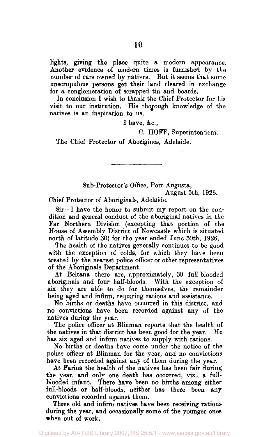lights, giving the place quite a modern appearance. Another evidence of modern times is furnished by the number of cars owned by natives. But it seems that some unscrupulous persons get their land cleared in exchange for a conglomeration of scrapped tin and boards.

In conclusion I wish to thank the Chief Protector for his visit to our institution. His thorough knowledge of the natives is an inspiration to us.

I have,  $&c.,$ 

C. HOFF, Superintendent.

The Chief Protector of Aborigines, Adelaide.

Sub-Protector's Office, Port Augusta, August 5th, 1926.

Chief Protector of Aboriginals, Adelaide.

Sir—I have the honor to submit my report on the condition and general conduct of the aboriginal natives in the Far Northern Division (excepting that portion of the House of Assembly District of Newcastle which is situated north of latitude 30) for the year ended June 30th, 1926.

The health of the natives generally continues to be good with the exception of colds, for which they have been treated by the nearest police officer or other representatives of the Aboriginals Department.

At Beltana there are, approximately, 30 full-blooded aboriginals and four half-bloods. With the exception of six they are able to do for themselves, the remainder being aged and infirm, requiring rations and assistance.

No births or deaths have occurred in this district, and no convictions have been recorded against any of the natives during the year.

The police officer at Blinman reports that the health of the natives in that district has been good for the year. He has six aged and infirm natives to supply with rations.

No births or deaths have come under the notice of the police officer at Blinman for the year, and no convictions have been recorded against any of them during the year.

At Farina the health of the natives has been fair during the year, and only one death has occurred, viz., a fullblooded infant. There have been no births among either full-bloods or half-bloods, neither has there been any convictions recorded against them.

Three old and infirm natives have been receiving rations during the year, and occasionally some of the younger ones when out of work.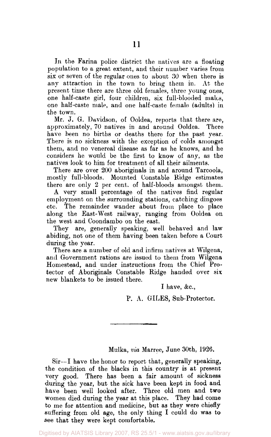In the Farina police district the natives are a floating population to a great extent, and their number varies from six or seven of the regular ones to about 30 when there is any attraction in the town to bring them in. At the present time there are three old females, three young ones, one half-caste girl, four children, six full-blooded males, one half-caste male, and one half-caste female (adults) in the town.

Mr. J. G. Davidson, of Ooldea, reports that there are, approximately, 70 natives in and around Ooldea. There have been no births or deaths there for the past year. There is no sickness with the exception of colds amongst them, and no venereal disease as far as he knows, and he considers he would be the first to know of any, as the natives look to him for treatment of all their ailments.

There are over 200 aboriginals in and around Tarcoola, mostly full-bloods. Mounted Constable Ridge estimates there are only 2 per cent, of half-bloods amongst them.

A very small percentage of the natives find regular employment on the surrounding stations, catching dingoes etc. The remainder wander about from place to place along the East-West railway, ranging from Ooldea on the west and Coondambo on the east.

They are, generally speaking, well behaved and law abiding, not one of them having been taken before a Court during the year.

There are a number of old and infirm natives at Wilgena, and Government rations are issued to them from Wilgena Homestead, and under instructions from the Chief Protector of Aboriginals Constable Ridge handed over six new blankets to be issued there.

I have, &c,

P. A. GILES, Sub-Protector.

Mulka, *via* Marree, June 30th, 1926.

Sir--I have the honor to report that, generally speaking, the condition of the blacks in this country is at present very good. There has been a fair amount of sickness during the year, but the sick have been kept in food and have been well looked after. Three old men and two women died during the year at this place. They had come to me for attention and medicine, but as they were chiefly suffering from old age, the only thing I could do was to see that they were kept comfortable.

Digitised by AIATSIS Library 2007, RS 25.5/1 - www.aiatsis.gov.au/library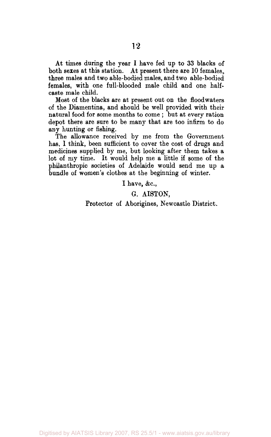At times during the year I have fed up to 33 blacks of both sexes at this station. At present there are 10 females, three males and two able-bodied males, and two able-bodied females, with one full-blooded male child and one halfcaste male child.

Most of the blacks are at present out on the floodwaters of the Diamentina, and should be well provided with their natural food for some months to come ; but at every ration depot there are sure to be many that are too infirm to do any hunting or fishing.

The allowance received by me from the Government has, 1 think, been sufficient to cover the cost of drugs and medicines supplied by me, but looking after them takes a lot of my time. It would help me a little if some of the philanthropic societies of Adelaide would send me up a bundle of women's clothes at the beginning of winter.

I have, &c,

G. AI8T0N,

Protector of Aborigines, Newcastle District.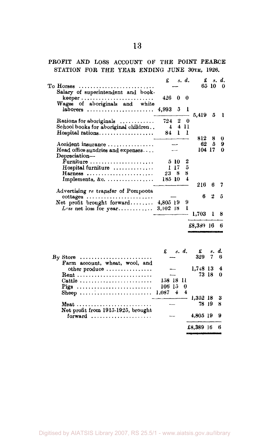## PROFIT AND LOSS ACCOUNT OF THE POINT PEARCE STATION FOR THE YEAR ENDING JUNE 30TH, 1926.

| To Horses<br>. <b>.</b> .                                                                                                       | £                   |                       | s. d.               | £                 | 65 10   | я. d.<br>0 |  |
|---------------------------------------------------------------------------------------------------------------------------------|---------------------|-----------------------|---------------------|-------------------|---------|------------|--|
| Salary of superintendent and book-<br>Wages of aboriginals and white                                                            | 426                 | O                     | 0                   |                   |         |            |  |
| $laborers$                                                                                                                      | 4,993               | 5                     | 1                   | 5,419 5           |         | - 1        |  |
| Rations for aboriginals<br>School books for aboriginal children                                                                 | 724<br>$\pm$<br>84. | $\boldsymbol{2}$<br>ı | 0<br>4 11<br>ı      |                   |         |            |  |
| Accident insurance                                                                                                              |                     |                       |                     | 812<br>62         | 8<br>5  | 0<br>9     |  |
| Head office sundries and expenses<br>Depreciation-                                                                              |                     |                       |                     |                   | 104 17  | 0          |  |
| Furniture<br>Hospital furniture<br>Harness                                                                                      | 238                 | 5 10<br>117           | 2<br>5<br>8         |                   |         |            |  |
| Implements, &c.                                                                                                                 | 185 10              |                       | 4                   | 216               | 6       | 7          |  |
| Advertising re transfer of Pompoota<br>$octages \ldots \ldots \ldots \ldots \ldots \ldots \ldots$<br>Net profit brought forward | $4,805$ 19          |                       | 9                   | 6                 | 2       | õ          |  |
| $L$ as net loss for year                                                                                                        | 3,102 18            |                       | ı                   | 1.703             | 1       | 8          |  |
|                                                                                                                                 |                     |                       |                     | £8,389 16         |         | 6          |  |
|                                                                                                                                 | £                   | $s$ , $d$ ,           |                     | £<br>329          | 8.<br>7 | d.<br>6    |  |
| $\mathbf{B}_{\mathbf{V}}$ Store<br>Farm account, wheat, wool, and<br>other produce                                              |                     |                       |                     | 1,748 13          |         | 4          |  |
| Cattle<br>Pigs                                                                                                                  | 158 18 11<br>106 15 |                       | 0                   |                   | 73 18   | 0          |  |
| Sheep                                                                                                                           | 1,087               | 4                     | $\ddot{\textbf{4}}$ | 1,352 18          |         | 3          |  |
| Meat<br>Net profit from 1915-1925, brought<br>forward                                                                           |                     |                       |                     | 78 19<br>4,805 19 |         | 8<br>9     |  |
|                                                                                                                                 |                     |                       |                     | £8,389 16         |         | 6          |  |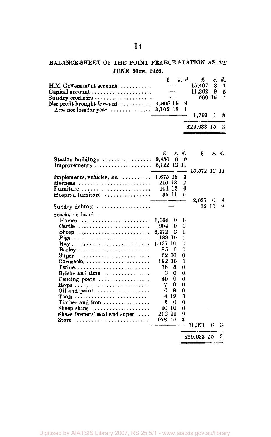# BALANCE-SHEET OF THE POINT PEARCE STATION AS *AT*  JUNE 30TH, 1926.

| $H.M. Gov$ ernment account $\ldots \ldots \ldots$<br>Capital account $\ldots$<br>$\texttt{Sundry}$ creditors                                                                                                                                                                                                                           | £                                                                                                                                                                                                 | s. d.                                                                                  | £<br>15,407<br>11.362<br>560 15 | s.<br>8<br>9 | d.<br>7<br>5<br>7 |
|----------------------------------------------------------------------------------------------------------------------------------------------------------------------------------------------------------------------------------------------------------------------------------------------------------------------------------------|---------------------------------------------------------------------------------------------------------------------------------------------------------------------------------------------------|----------------------------------------------------------------------------------------|---------------------------------|--------------|-------------------|
| Net profit brought forward $4,805$ 19                                                                                                                                                                                                                                                                                                  |                                                                                                                                                                                                   | 9<br>ı                                                                                 | 1,703                           | 1            | 8                 |
|                                                                                                                                                                                                                                                                                                                                        |                                                                                                                                                                                                   |                                                                                        | £29,033 15                      |              | 3                 |
| Station buildings $\ldots$                                                                                                                                                                                                                                                                                                             | £<br>9,450<br>0                                                                                                                                                                                   | s. d.<br>0                                                                             | £                               |              | s. d.             |
| Improvements                                                                                                                                                                                                                                                                                                                           | 6,122 12 11                                                                                                                                                                                       |                                                                                        | 15,572 12 11                    |              |                   |
| Implements, vehicles, &c. $\dots\dots\dots$<br>Harness<br>Furniture<br>$H$ ospital furniture $\ldots \ldots \ldots \ldots$                                                                                                                                                                                                             | $1,675$ 18<br>210 18<br>104 12<br>35 11                                                                                                                                                           | 3<br>2<br>6<br>5                                                                       |                                 |              |                   |
| Sundry debtors                                                                                                                                                                                                                                                                                                                         |                                                                                                                                                                                                   |                                                                                        | $2.027\,$<br>62 15              | 0            | 4<br>9            |
| Stocks on hand-<br>$H$ orses<br>Cattle $\dots\dots\dots\dots\dots\dots\dots\dots\dots\dots$<br>Sheep<br>Barley<br>$\textbf{Super}$<br>Bricks and lime $\ldots$<br>Fencing posts $\ldots$<br>Rope<br>Oil and paint $\dots\dots\dots\dots\dots\dots$<br>Timber and iron<br>Sheep skins<br>Share-farmers' seed and super $\dots$<br>Store | 1.064<br>0<br>904.<br>0<br>2<br>6.472<br>189 10<br>1.137<br>10<br>85<br>0<br>52 10<br>192 10<br>5<br>16.<br>0<br>3<br>0<br>40.<br>0<br>7<br>6.<br>8<br>419<br>5<br>0<br>10 10<br>202 11<br>978 IO | 0<br>0<br>0<br>0<br>0<br>0<br>0<br>0<br>0<br>0<br>0<br>0<br>0<br>3<br>0<br>0<br>9<br>3 | 11,371                          | 6            | 3                 |
|                                                                                                                                                                                                                                                                                                                                        |                                                                                                                                                                                                   |                                                                                        |                                 |              |                   |

 $£29,033$  15 3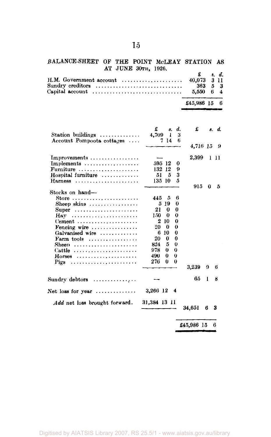#### BALANCE-SHEET OF THE POINT McLEAY STATION AS AT JUNE 30TH, 1926. £ .». *d.*

|                                                                              | $\pm$ $\theta$ , $\theta$ , |  |
|------------------------------------------------------------------------------|-----------------------------|--|
|                                                                              |                             |  |
| $Sundry$ creditors $\ldots \ldots \ldots \ldots \ldots \ldots \ldots \ldots$ | $363 - 5 - 3$               |  |
|                                                                              |                             |  |
|                                                                              |                             |  |
|                                                                              | £45,986 15 6                |  |

|                                                   | £                | 8.        | d.       | £          |   |   | s. d. |
|---------------------------------------------------|------------------|-----------|----------|------------|---|---|-------|
| Station buildings $\ldots \ldots \ldots \ldots$   | 4,709            | 1         | з        |            |   |   |       |
| Account Pompoota cottages                         |                  | -14<br>7. | 6        |            |   |   |       |
|                                                   |                  |           |          | 4,716 15 9 |   |   |       |
| $Improvements \ldots \ldots \ldots \ldots \ldots$ |                  |           |          | 2,399      |   |   | 1 H   |
| Implements $\dots\dots\dots\dots\dots\dots$       |                  | 595 12    | 0        |            |   |   |       |
| Furniture $\ldots \ldots \ldots \ldots \ldots$    | 132              | 12        | 9        |            |   |   |       |
| Hospital furniture                                | 51               | 5         | 3        |            |   |   |       |
| $Harness$                                         |                  | 135 10    | 5        |            |   |   |       |
|                                                   |                  |           |          | 915        |   | 0 | 5     |
| Stocks on hand-                                   |                  |           |          |            |   |   |       |
| Store $\ldots \ldots \ldots \ldots \ldots \ldots$ | 445              | ā         | 6        |            |   |   |       |
| Sheep skins $\ldots$                              | 5                | -19       | 0        |            |   |   |       |
| Super                                             | 21               | 0         | 0        |            |   |   |       |
| Hav                                               | 150              | 0         | 0        |            |   |   |       |
| $Cement \ldots \ldots \ldots \ldots \ldots$       | $\boldsymbol{2}$ | 10        | 0        |            |   |   |       |
| Fencing wire $\dots \dots \dots \dots$            | 20               | 0         | 0        |            |   |   |       |
| Galvanised wire                                   | 6                | 10        | $\bf{0}$ |            |   |   |       |
| Farm tools $\dots\dots\dots\dots\dots\dots$       | 20               | 0         | 0        |            |   |   |       |
| Sheep                                             | 824              | 5         | $\bf{0}$ |            |   |   |       |
| Cattle                                            | 978.             | 0         | 0        |            |   |   |       |
| $H$ orses                                         | 490.             | 0         | o        |            |   |   |       |
| Pigs                                              | 276              | 0         | 0        |            |   |   |       |
|                                                   |                  |           |          | 3,239      | o |   | 6     |
| Sundry debtors $\dots \dots \dots \dots$          |                  |           |          | 65         | 1 |   | 8     |
| Net loss for year $\ldots$                        | 3,266 12         |           | -4       |            |   |   |       |
| <i>Add</i> net loss brought forward.              | 31.384 13 11     |           |          |            |   |   |       |
|                                                   |                  |           |          | 34,651     | 6 |   | 3     |
|                                                   |                  |           |          | £45,986 15 |   |   | 6     |
|                                                   |                  |           |          |            |   |   |       |